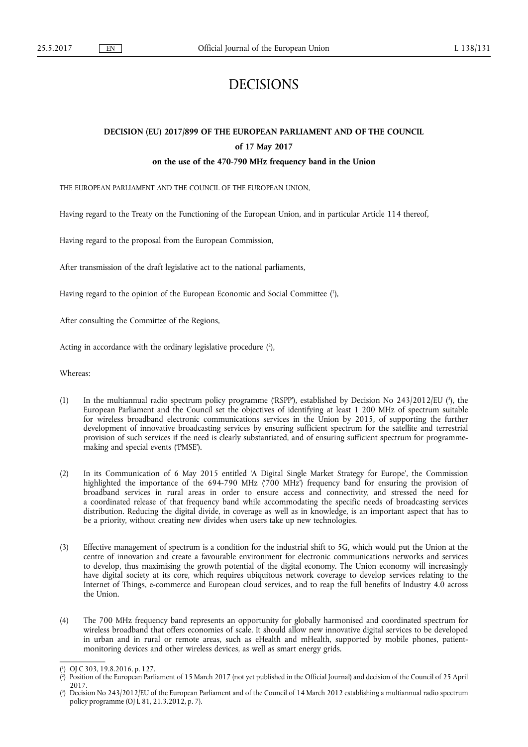# DECISIONS

# **DECISION (EU) 2017/899 OF THE EUROPEAN PARLIAMENT AND OF THE COUNCIL of 17 May 2017**

# **on the use of the 470-790 MHz frequency band in the Union**

THE EUROPEAN PARLIAMENT AND THE COUNCIL OF THE EUROPEAN UNION,

Having regard to the Treaty on the Functioning of the European Union, and in particular Article 114 thereof,

Having regard to the proposal from the European Commission,

After transmission of the draft legislative act to the national parliaments,

Having regard to the opinion of the European Economic and Social Committee ( 1 ),

After consulting the Committee of the Regions,

Acting in accordance with the ordinary legislative procedure (2),

Whereas:

- (1) In the multiannual radio spectrum policy programme ('RSPP'), established by Decision No 243/2012/EU (<sup>3</sup>), the European Parliament and the Council set the objectives of identifying at least 1 200 MHz of spectrum suitable for wireless broadband electronic communications services in the Union by 2015, of supporting the further development of innovative broadcasting services by ensuring sufficient spectrum for the satellite and terrestrial provision of such services if the need is clearly substantiated, and of ensuring sufficient spectrum for programmemaking and special events ('PMSE').
- (2) In its Communication of 6 May 2015 entitled 'A Digital Single Market Strategy for Europe', the Commission highlighted the importance of the 694-790 MHz ('700 MHz') frequency band for ensuring the provision of broadband services in rural areas in order to ensure access and connectivity, and stressed the need for a coordinated release of that frequency band while accommodating the specific needs of broadcasting services distribution. Reducing the digital divide, in coverage as well as in knowledge, is an important aspect that has to be a priority, without creating new divides when users take up new technologies.
- (3) Effective management of spectrum is a condition for the industrial shift to 5G, which would put the Union at the centre of innovation and create a favourable environment for electronic communications networks and services to develop, thus maximising the growth potential of the digital economy. The Union economy will increasingly have digital society at its core, which requires ubiquitous network coverage to develop services relating to the Internet of Things, e-commerce and European cloud services, and to reap the full benefits of Industry 4.0 across the Union.
- (4) The 700 MHz frequency band represents an opportunity for globally harmonised and coordinated spectrum for wireless broadband that offers economies of scale. It should allow new innovative digital services to be developed in urban and in rural or remote areas, such as eHealth and mHealth, supported by mobile phones, patientmonitoring devices and other wireless devices, as well as smart energy grids.

<sup>(</sup> 1 ) OJ C 303, 19.8.2016, p. 127.

<sup>(</sup> 2 ) Position of the European Parliament of 15 March 2017 (not yet published in the Official Journal) and decision of the Council of 25 April 2017.

<sup>(</sup> 3 ) Decision No 243/2012/EU of the European Parliament and of the Council of 14 March 2012 establishing a multiannual radio spectrum policy programme (OJ L 81, 21.3.2012, p. 7).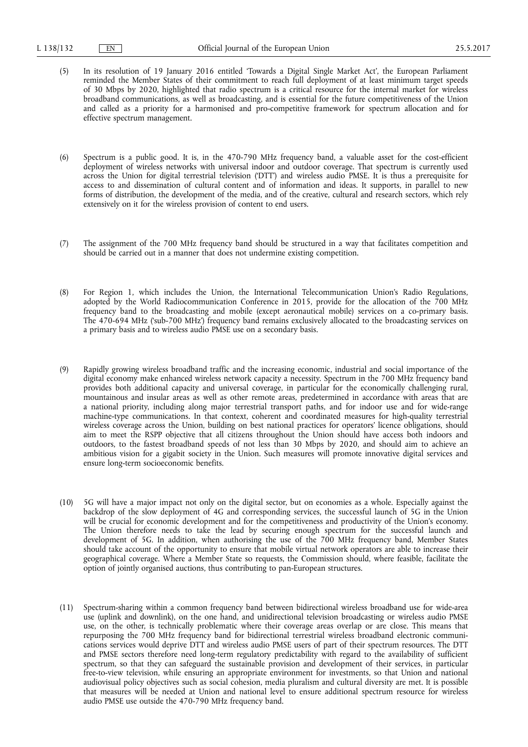- (5) In its resolution of 19 January 2016 entitled 'Towards a Digital Single Market Act', the European Parliament reminded the Member States of their commitment to reach full deployment of at least minimum target speeds of 30 Mbps by 2020, highlighted that radio spectrum is a critical resource for the internal market for wireless broadband communications, as well as broadcasting, and is essential for the future competitiveness of the Union and called as a priority for a harmonised and pro-competitive framework for spectrum allocation and for effective spectrum management.
- (6) Spectrum is a public good. It is, in the 470-790 MHz frequency band, a valuable asset for the cost-efficient deployment of wireless networks with universal indoor and outdoor coverage. That spectrum is currently used across the Union for digital terrestrial television ('DTT') and wireless audio PMSE. It is thus a prerequisite for access to and dissemination of cultural content and of information and ideas. It supports, in parallel to new forms of distribution, the development of the media, and of the creative, cultural and research sectors, which rely extensively on it for the wireless provision of content to end users.
- (7) The assignment of the 700 MHz frequency band should be structured in a way that facilitates competition and should be carried out in a manner that does not undermine existing competition.
- (8) For Region 1, which includes the Union, the International Telecommunication Union's Radio Regulations, adopted by the World Radiocommunication Conference in 2015, provide for the allocation of the 700 MHz frequency band to the broadcasting and mobile (except aeronautical mobile) services on a co-primary basis. The 470-694 MHz ('sub-700 MHz') frequency band remains exclusively allocated to the broadcasting services on a primary basis and to wireless audio PMSE use on a secondary basis.
- (9) Rapidly growing wireless broadband traffic and the increasing economic, industrial and social importance of the digital economy make enhanced wireless network capacity a necessity. Spectrum in the 700 MHz frequency band provides both additional capacity and universal coverage, in particular for the economically challenging rural, mountainous and insular areas as well as other remote areas, predetermined in accordance with areas that are a national priority, including along major terrestrial transport paths, and for indoor use and for wide-range machine-type communications. In that context, coherent and coordinated measures for high-quality terrestrial wireless coverage across the Union, building on best national practices for operators' licence obligations, should aim to meet the RSPP objective that all citizens throughout the Union should have access both indoors and outdoors, to the fastest broadband speeds of not less than 30 Mbps by 2020, and should aim to achieve an ambitious vision for a gigabit society in the Union. Such measures will promote innovative digital services and ensure long-term socioeconomic benefits.
- (10) 5G will have a major impact not only on the digital sector, but on economies as a whole. Especially against the backdrop of the slow deployment of 4G and corresponding services, the successful launch of 5G in the Union will be crucial for economic development and for the competitiveness and productivity of the Union's economy. The Union therefore needs to take the lead by securing enough spectrum for the successful launch and development of 5G. In addition, when authorising the use of the 700 MHz frequency band, Member States should take account of the opportunity to ensure that mobile virtual network operators are able to increase their geographical coverage. Where a Member State so requests, the Commission should, where feasible, facilitate the option of jointly organised auctions, thus contributing to pan-European structures.
- (11) Spectrum-sharing within a common frequency band between bidirectional wireless broadband use for wide-area use (uplink and downlink), on the one hand, and unidirectional television broadcasting or wireless audio PMSE use, on the other, is technically problematic where their coverage areas overlap or are close. This means that repurposing the 700 MHz frequency band for bidirectional terrestrial wireless broadband electronic communications services would deprive DTT and wireless audio PMSE users of part of their spectrum resources. The DTT and PMSE sectors therefore need long-term regulatory predictability with regard to the availability of sufficient spectrum, so that they can safeguard the sustainable provision and development of their services, in particular free-to-view television, while ensuring an appropriate environment for investments, so that Union and national audiovisual policy objectives such as social cohesion, media pluralism and cultural diversity are met. It is possible that measures will be needed at Union and national level to ensure additional spectrum resource for wireless audio PMSE use outside the 470-790 MHz frequency band.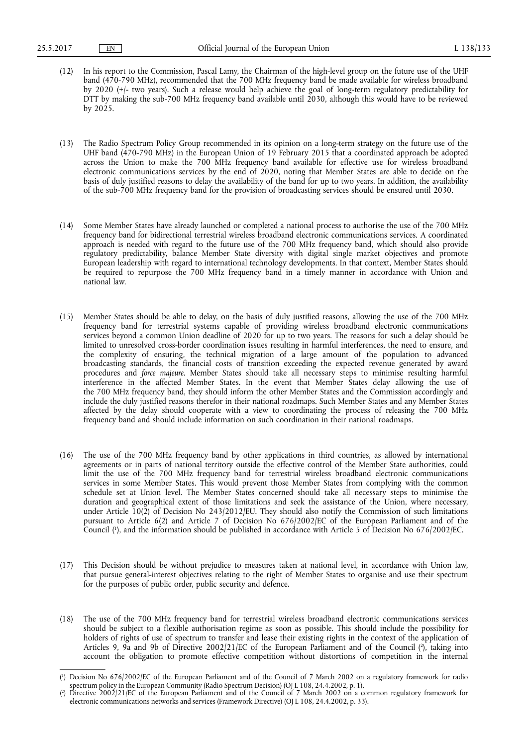- (12) In his report to the Commission, Pascal Lamy, the Chairman of the high-level group on the future use of the UHF band (470-790 MHz), recommended that the 700 MHz frequency band be made available for wireless broadband by 2020 (+/- two years). Such a release would help achieve the goal of long-term regulatory predictability for DTT by making the sub-700 MHz frequency band available until 2030, although this would have to be reviewed by 2025.
- (13) The Radio Spectrum Policy Group recommended in its opinion on a long-term strategy on the future use of the UHF band (470-790 MHz) in the European Union of 19 February 2015 that a coordinated approach be adopted across the Union to make the 700 MHz frequency band available for effective use for wireless broadband electronic communications services by the end of 2020, noting that Member States are able to decide on the basis of duly justified reasons to delay the availability of the band for up to two years. In addition, the availability of the sub-700 MHz frequency band for the provision of broadcasting services should be ensured until 2030.
- (14) Some Member States have already launched or completed a national process to authorise the use of the 700 MHz frequency band for bidirectional terrestrial wireless broadband electronic communications services. A coordinated approach is needed with regard to the future use of the 700 MHz frequency band, which should also provide regulatory predictability, balance Member State diversity with digital single market objectives and promote European leadership with regard to international technology developments. In that context, Member States should be required to repurpose the 700 MHz frequency band in a timely manner in accordance with Union and national law.
- (15) Member States should be able to delay, on the basis of duly justified reasons, allowing the use of the 700 MHz frequency band for terrestrial systems capable of providing wireless broadband electronic communications services beyond a common Union deadline of 2020 for up to two years. The reasons for such a delay should be limited to unresolved cross-border coordination issues resulting in harmful interferences, the need to ensure, and the complexity of ensuring, the technical migration of a large amount of the population to advanced broadcasting standards, the financial costs of transition exceeding the expected revenue generated by award procedures and *force majeure*. Member States should take all necessary steps to minimise resulting harmful interference in the affected Member States. In the event that Member States delay allowing the use of the 700 MHz frequency band, they should inform the other Member States and the Commission accordingly and include the duly justified reasons therefor in their national roadmaps. Such Member States and any Member States affected by the delay should cooperate with a view to coordinating the process of releasing the 700 MHz frequency band and should include information on such coordination in their national roadmaps.
- (16) The use of the 700 MHz frequency band by other applications in third countries, as allowed by international agreements or in parts of national territory outside the effective control of the Member State authorities, could limit the use of the 700 MHz frequency band for terrestrial wireless broadband electronic communications services in some Member States. This would prevent those Member States from complying with the common schedule set at Union level. The Member States concerned should take all necessary steps to minimise the duration and geographical extent of those limitations and seek the assistance of the Union, where necessary, under Article 10(2) of Decision No 243/2012/EU. They should also notify the Commission of such limitations pursuant to Article 6(2) and Article 7 of Decision No 676/2002/EC of the European Parliament and of the Council ( 1 ), and the information should be published in accordance with Article 5 of Decision No 676/2002/EC.
- (17) This Decision should be without prejudice to measures taken at national level, in accordance with Union law, that pursue general-interest objectives relating to the right of Member States to organise and use their spectrum for the purposes of public order, public security and defence.
- (18) The use of the 700 MHz frequency band for terrestrial wireless broadband electronic communications services should be subject to a flexible authorisation regime as soon as possible. This should include the possibility for holders of rights of use of spectrum to transfer and lease their existing rights in the context of the application of Articles 9, 9a and 9b of Directive 2002/21/EC of the European Parliament and of the Council (<sup>2</sup>), taking into account the obligation to promote effective competition without distortions of competition in the internal

<sup>(</sup> 1 ) Decision No 676/2002/EC of the European Parliament and of the Council of 7 March 2002 on a regulatory framework for radio spectrum policy in the European Community (Radio Spectrum Decision) (OJ L 108, 24.4.2002, p. 1).

<sup>(</sup> 2 ) Directive 2002/21/EC of the European Parliament and of the Council of 7 March 2002 on a common regulatory framework for electronic communications networks and services (Framework Directive) (OJ L 108, 24.4.2002, p. 33).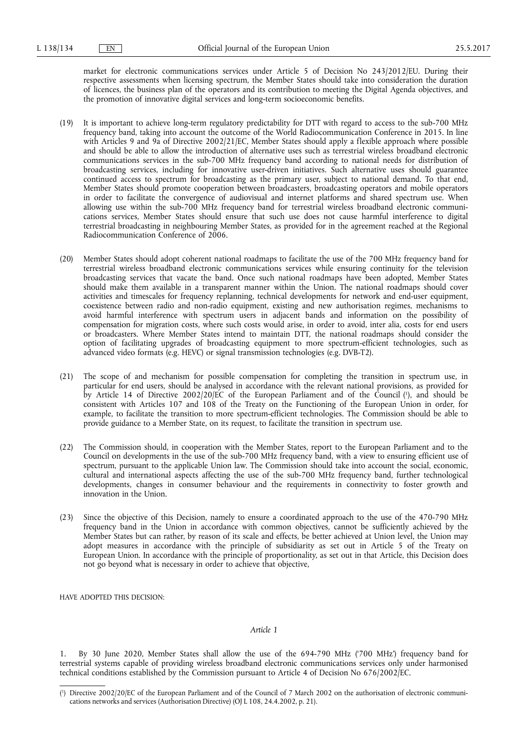market for electronic communications services under Article 5 of Decision No 243/2012/EU. During their respective assessments when licensing spectrum, the Member States should take into consideration the duration of licences, the business plan of the operators and its contribution to meeting the Digital Agenda objectives, and the promotion of innovative digital services and long-term socioeconomic benefits.

- (19) It is important to achieve long-term regulatory predictability for DTT with regard to access to the sub-700 MHz frequency band, taking into account the outcome of the World Radiocommunication Conference in 2015. In line with Articles 9 and 9a of Directive 2002/21/EC, Member States should apply a flexible approach where possible and should be able to allow the introduction of alternative uses such as terrestrial wireless broadband electronic communications services in the sub-700 MHz frequency band according to national needs for distribution of broadcasting services, including for innovative user-driven initiatives. Such alternative uses should guarantee continued access to spectrum for broadcasting as the primary user, subject to national demand. To that end, Member States should promote cooperation between broadcasters, broadcasting operators and mobile operators in order to facilitate the convergence of audiovisual and internet platforms and shared spectrum use. When allowing use within the sub-700 MHz frequency band for terrestrial wireless broadband electronic communications services, Member States should ensure that such use does not cause harmful interference to digital terrestrial broadcasting in neighbouring Member States, as provided for in the agreement reached at the Regional Radiocommunication Conference of 2006.
- (20) Member States should adopt coherent national roadmaps to facilitate the use of the 700 MHz frequency band for terrestrial wireless broadband electronic communications services while ensuring continuity for the television broadcasting services that vacate the band. Once such national roadmaps have been adopted, Member States should make them available in a transparent manner within the Union. The national roadmaps should cover activities and timescales for frequency replanning, technical developments for network and end-user equipment, coexistence between radio and non-radio equipment, existing and new authorisation regimes, mechanisms to avoid harmful interference with spectrum users in adjacent bands and information on the possibility of compensation for migration costs, where such costs would arise, in order to avoid, inter alia, costs for end users or broadcasters. Where Member States intend to maintain DTT, the national roadmaps should consider the option of facilitating upgrades of broadcasting equipment to more spectrum-efficient technologies, such as advanced video formats (e.g. HEVC) or signal transmission technologies (e.g. DVB-T2).
- (21) The scope of and mechanism for possible compensation for completing the transition in spectrum use, in particular for end users, should be analysed in accordance with the relevant national provisions, as provided for by Article 14 of Directive 2002/20/EC of the European Parliament and of the Council ( 1 ), and should be consistent with Articles 107 and 108 of the Treaty on the Functioning of the European Union in order, for example, to facilitate the transition to more spectrum-efficient technologies. The Commission should be able to provide guidance to a Member State, on its request, to facilitate the transition in spectrum use.
- (22) The Commission should, in cooperation with the Member States, report to the European Parliament and to the Council on developments in the use of the sub-700 MHz frequency band, with a view to ensuring efficient use of spectrum, pursuant to the applicable Union law. The Commission should take into account the social, economic, cultural and international aspects affecting the use of the sub-700 MHz frequency band, further technological developments, changes in consumer behaviour and the requirements in connectivity to foster growth and innovation in the Union.
- (23) Since the objective of this Decision, namely to ensure a coordinated approach to the use of the 470-790 MHz frequency band in the Union in accordance with common objectives, cannot be sufficiently achieved by the Member States but can rather, by reason of its scale and effects, be better achieved at Union level, the Union may adopt measures in accordance with the principle of subsidiarity as set out in Article 5 of the Treaty on European Union. In accordance with the principle of proportionality, as set out in that Article, this Decision does not go beyond what is necessary in order to achieve that objective,

HAVE ADOPTED THIS DECISION:

#### *Article 1*

1. By 30 June 2020, Member States shall allow the use of the 694-790 MHz ('700 MHz') frequency band for terrestrial systems capable of providing wireless broadband electronic communications services only under harmonised technical conditions established by the Commission pursuant to Article 4 of Decision No 676/2002/EC.

<sup>(</sup> 1 ) Directive 2002/20/EC of the European Parliament and of the Council of 7 March 2002 on the authorisation of electronic communications networks and services (Authorisation Directive) (OJ L 108, 24.4.2002, p. 21).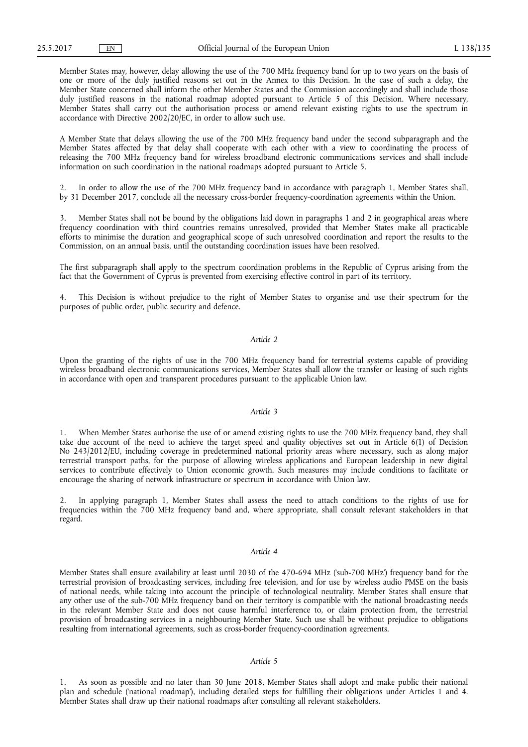Member States may, however, delay allowing the use of the 700 MHz frequency band for up to two years on the basis of one or more of the duly justified reasons set out in the Annex to this Decision. In the case of such a delay, the Member State concerned shall inform the other Member States and the Commission accordingly and shall include those duly justified reasons in the national roadmap adopted pursuant to Article 5 of this Decision. Where necessary, Member States shall carry out the authorisation process or amend relevant existing rights to use the spectrum in accordance with Directive 2002/20/EC, in order to allow such use.

A Member State that delays allowing the use of the 700 MHz frequency band under the second subparagraph and the Member States affected by that delay shall cooperate with each other with a view to coordinating the process of releasing the 700 MHz frequency band for wireless broadband electronic communications services and shall include information on such coordination in the national roadmaps adopted pursuant to Article 5.

2. In order to allow the use of the 700 MHz frequency band in accordance with paragraph 1, Member States shall, by 31 December 2017, conclude all the necessary cross-border frequency-coordination agreements within the Union.

Member States shall not be bound by the obligations laid down in paragraphs 1 and 2 in geographical areas where frequency coordination with third countries remains unresolved, provided that Member States make all practicable efforts to minimise the duration and geographical scope of such unresolved coordination and report the results to the Commission, on an annual basis, until the outstanding coordination issues have been resolved.

The first subparagraph shall apply to the spectrum coordination problems in the Republic of Cyprus arising from the fact that the Government of Cyprus is prevented from exercising effective control in part of its territory.

This Decision is without prejudice to the right of Member States to organise and use their spectrum for the purposes of public order, public security and defence.

#### *Article 2*

Upon the granting of the rights of use in the 700 MHz frequency band for terrestrial systems capable of providing wireless broadband electronic communications services, Member States shall allow the transfer or leasing of such rights in accordance with open and transparent procedures pursuant to the applicable Union law.

# *Article 3*

1. When Member States authorise the use of or amend existing rights to use the 700 MHz frequency band, they shall take due account of the need to achieve the target speed and quality objectives set out in Article 6(1) of Decision No 243/2012/EU, including coverage in predetermined national priority areas where necessary, such as along major terrestrial transport paths, for the purpose of allowing wireless applications and European leadership in new digital services to contribute effectively to Union economic growth. Such measures may include conditions to facilitate or encourage the sharing of network infrastructure or spectrum in accordance with Union law.

2. In applying paragraph 1, Member States shall assess the need to attach conditions to the rights of use for frequencies within the 700 MHz frequency band and, where appropriate, shall consult relevant stakeholders in that regard.

#### *Article 4*

Member States shall ensure availability at least until 2030 of the 470-694 MHz ('sub-700 MHz') frequency band for the terrestrial provision of broadcasting services, including free television, and for use by wireless audio PMSE on the basis of national needs, while taking into account the principle of technological neutrality. Member States shall ensure that any other use of the sub-700 MHz frequency band on their territory is compatible with the national broadcasting needs in the relevant Member State and does not cause harmful interference to, or claim protection from, the terrestrial provision of broadcasting services in a neighbouring Member State. Such use shall be without prejudice to obligations resulting from international agreements, such as cross-border frequency-coordination agreements.

#### *Article 5*

1. As soon as possible and no later than 30 June 2018, Member States shall adopt and make public their national plan and schedule ('national roadmap'), including detailed steps for fulfilling their obligations under Articles 1 and 4. Member States shall draw up their national roadmaps after consulting all relevant stakeholders.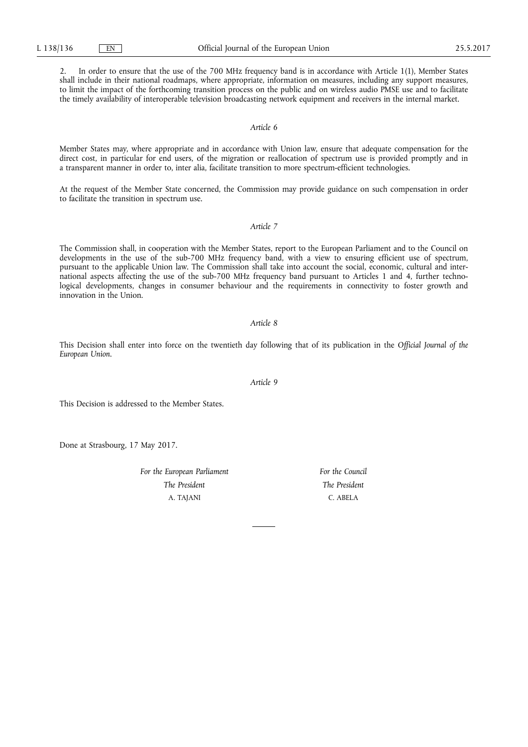2. In order to ensure that the use of the 700 MHz frequency band is in accordance with Article 1(1), Member States shall include in their national roadmaps, where appropriate, information on measures, including any support measures, to limit the impact of the forthcoming transition process on the public and on wireless audio PMSE use and to facilitate the timely availability of interoperable television broadcasting network equipment and receivers in the internal market.

*Article 6* 

Member States may, where appropriate and in accordance with Union law, ensure that adequate compensation for the direct cost, in particular for end users, of the migration or reallocation of spectrum use is provided promptly and in a transparent manner in order to, inter alia, facilitate transition to more spectrum-efficient technologies.

At the request of the Member State concerned, the Commission may provide guidance on such compensation in order to facilitate the transition in spectrum use.

#### *Article 7*

The Commission shall, in cooperation with the Member States, report to the European Parliament and to the Council on developments in the use of the sub-700 MHz frequency band, with a view to ensuring efficient use of spectrum, pursuant to the applicable Union law. The Commission shall take into account the social, economic, cultural and international aspects affecting the use of the sub-700 MHz frequency band pursuant to Articles 1 and 4, further technological developments, changes in consumer behaviour and the requirements in connectivity to foster growth and innovation in the Union.

#### *Article 8*

This Decision shall enter into force on the twentieth day following that of its publication in the *Official Journal of the European Union*.

*Article 9* 

This Decision is addressed to the Member States.

Done at Strasbourg, 17 May 2017.

*For the European Parliament The President*  A. TAJANI

*For the Council The President*  C. ABELA